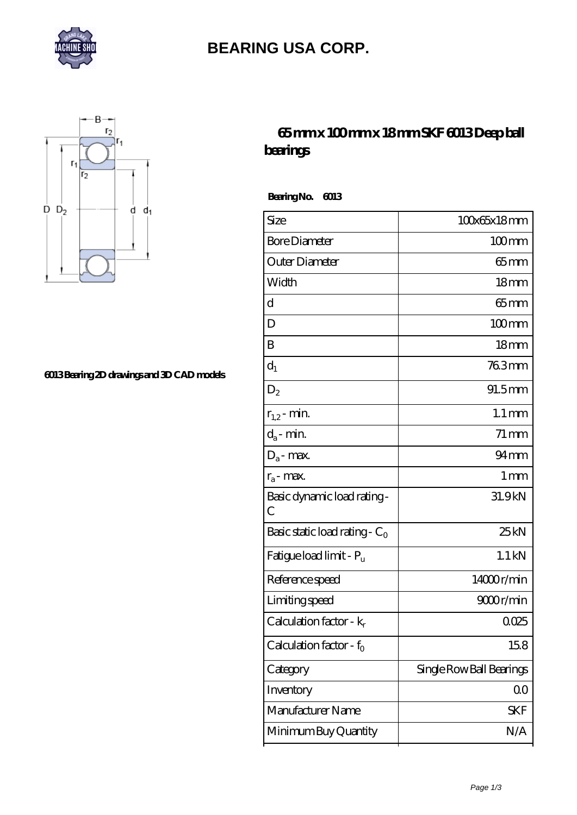

# **[BEARING USA CORP.](https://anotherworldbb.com)**



#### **[6013 Bearing 2D drawings and 3D CAD models](https://anotherworldbb.com/pic-65096943.html)**

### **[65 mm x 100 mm x 18 mm SKF 6013 Deep ball](https://anotherworldbb.com/sell-65096943-65-mm-x-100-mm-x-18-mm-skf-6013-deep-ball-bearings.html) [bearings](https://anotherworldbb.com/sell-65096943-65-mm-x-100-mm-x-18-mm-skf-6013-deep-ball-bearings.html)**

 **Bearing No. 6013**

| Size                                | 100x65x18mm              |
|-------------------------------------|--------------------------|
| <b>Bore Diameter</b>                | 100mm                    |
| Outer Diameter                      | $65$ mm                  |
| Width                               | 18 <sub>mm</sub>         |
| d                                   | 65mm                     |
| D                                   | $100$ mm                 |
| B                                   | 18 <sub>mm</sub>         |
| $d_1$                               | 763mm                    |
| $D_2$                               | $91.5$ mm                |
| $r_{1,2}$ - min.                    | $1.1 \,\mathrm{mm}$      |
| $d_a$ - min.                        | $71 \,\mathrm{mm}$       |
| $D_a$ - max.                        | $94 \text{mm}$           |
| $r_a$ - max.                        | 1 <sub>mm</sub>          |
| Basic dynamic load rating -<br>С    | 31.9kN                   |
| Basic static load rating - $C_0$    | 25kN                     |
| Fatigue load limit - P <sub>u</sub> | $1.1$ kN                 |
| Reference speed                     | 14000r/min               |
| Limiting speed                      | 9000r/min                |
| Calculation factor - $k_r$          | 0025                     |
| Calculation factor - f <sub>o</sub> | 158                      |
| Category                            | Single Row Ball Bearings |
| Inventory                           | $00\,$                   |
| Manufacturer Name                   | SKF                      |
| Minimum Buy Quantity                | N/A                      |
|                                     |                          |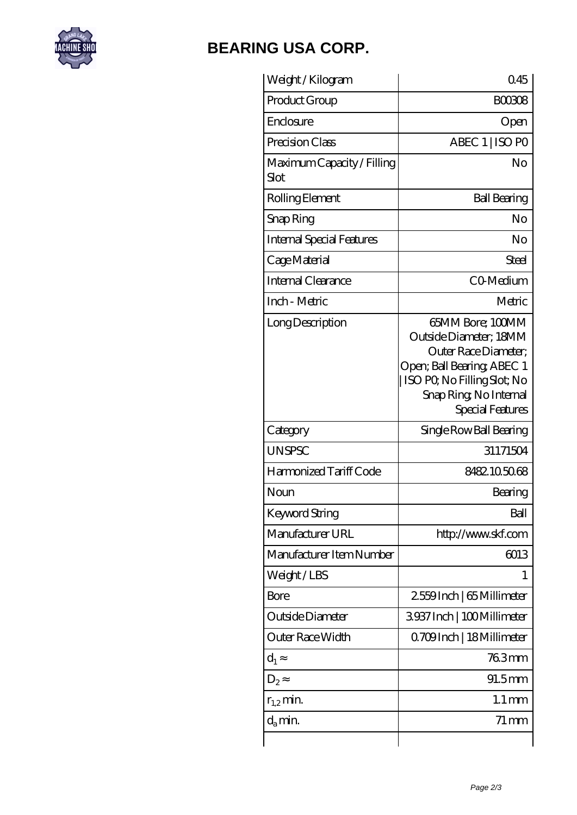

# **[BEARING USA CORP.](https://anotherworldbb.com)**

| Weight / Kilogram                  | 045                                                                                                                                                                           |
|------------------------------------|-------------------------------------------------------------------------------------------------------------------------------------------------------------------------------|
| Product Group                      | <b>BOO308</b>                                                                                                                                                                 |
| Enclosure                          | Open                                                                                                                                                                          |
| Precision Class                    | ABEC 1   ISO PO                                                                                                                                                               |
| Maximum Capacity / Filling<br>Slot | No                                                                                                                                                                            |
| Rolling Element                    | <b>Ball Bearing</b>                                                                                                                                                           |
| Snap Ring                          | No                                                                                                                                                                            |
| <b>Internal Special Features</b>   | No                                                                                                                                                                            |
| Cage Material                      | Steel                                                                                                                                                                         |
| Internal Clearance                 | CO-Medium                                                                                                                                                                     |
| Inch - Metric                      | Metric                                                                                                                                                                        |
| Long Description                   | 65MM Bore; 100MM<br>Outside Diameter; 18MM<br>Outer Race Diameter;<br>Open; Ball Bearing; ABEC 1<br>ISO PO, No Filling Slot; No<br>Snap Ring, No Internal<br>Special Features |
| Category                           | Single Row Ball Bearing                                                                                                                                                       |
| <b>UNSPSC</b>                      | 31171504                                                                                                                                                                      |
| Harmonized Tariff Code             | 8482105068                                                                                                                                                                    |
| Noun                               | Bearing                                                                                                                                                                       |
| Keyword String                     | Ball                                                                                                                                                                          |
| Manufacturer URL                   | http://www.skf.com                                                                                                                                                            |
| Manufacturer Item Number           | 6013                                                                                                                                                                          |
| Weight/LBS                         | 1                                                                                                                                                                             |
| Bore                               | 2559Inch   65 Millimeter                                                                                                                                                      |
| Outside Diameter                   | 3937 Inch   100 Millimeter                                                                                                                                                    |
| Outer Race Width                   | 0.709Inch   18 Millimeter                                                                                                                                                     |
| $d_1$                              | 763mm                                                                                                                                                                         |
| $D_{2}$                            | $91.5$ mm                                                                                                                                                                     |
| $r_{1,2}$ min.                     | $1.1 \,\mathrm{mm}$                                                                                                                                                           |
| $d_{a}$ min.                       | $71 \,\mathrm{mm}$                                                                                                                                                            |
|                                    |                                                                                                                                                                               |